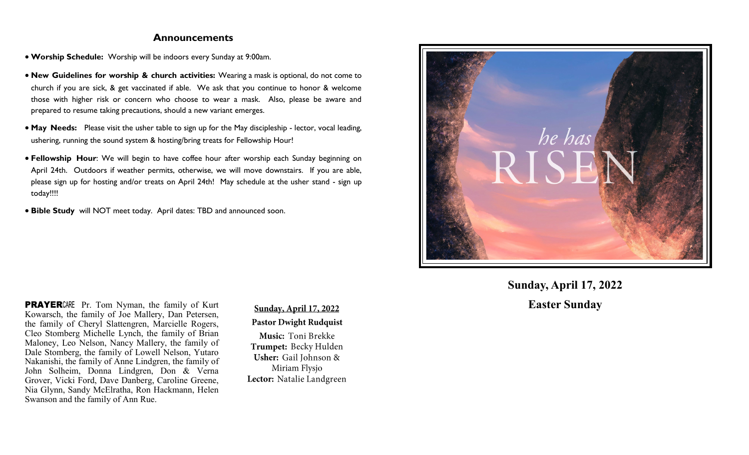#### **Announcements**

- **Worship Schedule:** Worship will be indoors every Sunday at 9:00am.
- **New Guidelines for worship & church activities:** Wearing a mask is optional, do not come to church if you are sick, & get vaccinated if able. We ask that you continue to honor & welcome those with higher risk or concern who choose to wear a mask. Also, please be aware and prepared to resume taking precautions, should a new variant emerges.
- **May Needs:** Please visit the usher table to sign up for the May discipleship lector, vocal leading, ushering, running the sound system & hosting/bring treats for Fellowship Hour!
- **Fellowship Hour**: We will begin to have coffee hour after worship each Sunday beginning on April 24th. Outdoors if weather permits, otherwise, we will move downstairs. If you are able, please sign up for hosting and/or treats on April 24th! May schedule at the usher stand - sign up today!!!!
- **Bible Study** will NOT meet today. April dates: TBD and announced soon.



**Sunday, April 17, 2022**

**PRAYER**CARE Pr. Tom Nyman, the family of Kurt **Sunday, April 17, 2022 Easter Sunday** Kowarsch, the family of Joe Mallery, Dan Petersen, the family of Cheryl Slattengren, Marcielle Rogers, Cleo Stomberg Michelle Lynch, the family of Brian Maloney, Leo Nelson, Nancy Mallery, the family of Dale Stomberg, the family of Lowell Nelson, Yutaro Nakanishi, the family of Anne Lindgren, the family of John Solheim, Donna Lindgren, Don & Verna Grover, Vicki Ford, Dave Danberg, Caroline Greene, Nia Glynn, Sandy McElratha, Ron Hackmann, Helen Swanson and the family of Ann Rue.

**Pastor Dwight Rudquist** 

Music: Toni Brekke Trumpet: Becky Hulden Usher: Gail Johnson & Miriam Flysjo Lector: Natalie Landgreen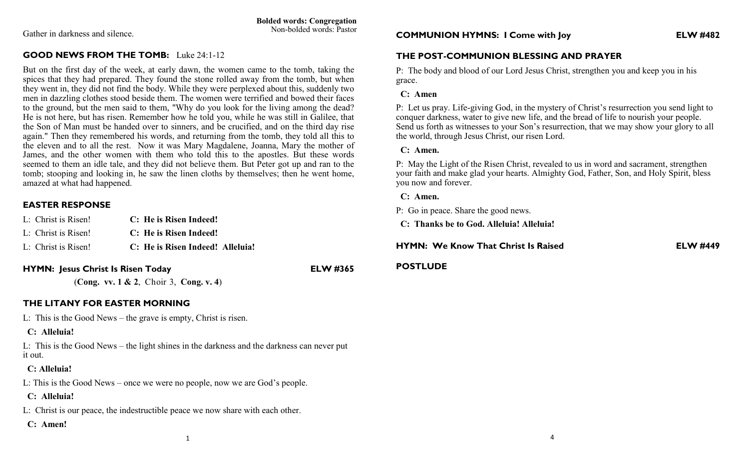Gather in darkness and silence.

# **GOOD NEWS FROM THE TOMB:** Luke 24:1-12

But on the first day of the week, at early dawn, the women came to the tomb, taking the spices that they had prepared. They found the stone rolled away from the tomb, but when they went in, they did not find the body. While they were perplexed about this, suddenly two men in dazzling clothes stood beside them. The women were terrified and bowed their faces to the ground, but the men said to them, "Why do you look for the living among the dead? He is not here, but has risen. Remember how he told you, while he was still in Galilee, that the Son of Man must be handed over to sinners, and be crucified, and on the third day rise again." Then they remembered his words, and returning from the tomb, they told all this to the eleven and to all the rest. Now it was Mary Magdalene, Joanna, Mary the mother of James, and the other women with them who told this to the apostles. But these words seemed to them an idle tale, and they did not believe them. But Peter got up and ran to the tomb; stooping and looking in, he saw the linen cloths by themselves; then he went home, amazed at what had happened.

## **EASTER RESPONSE**

| L: Christ is Risen! | C: He is Risen Indeed!           |
|---------------------|----------------------------------|
| L: Christ is Risen! | C: He is Risen Indeed!           |
| L: Christ is Risen! | C: He is Risen Indeed! Alleluia! |

## **HYMN: Jesus Christ Is Risen Today ELW #365**

(**Cong. vv. 1 & 2**, Choir 3, **Cong. v. 4**)

### **THE LITANY FOR EASTER MORNING**

L: This is the Good News – the grave is empty, Christ is risen.

### **C: Alleluia!**

L: This is the Good News – the light shines in the darkness and the darkness can never put it out.

### **C: Alleluia!**

L: This is the Good News – once we were no people, now we are God's people.

### **C: Alleluia!**

L: Christ is our peace, the indestructible peace we now share with each other.

 **C: Amen!**

## **THE POST-COMMUNION BLESSING AND PRAYER**

P: The body and blood of our Lord Jesus Christ, strengthen you and keep you in his grace.

#### **C: Amen**

P: Let us pray. Life-giving God, in the mystery of Christ's resurrection you send light to conquer darkness, water to give new life, and the bread of life to nourish your people. Send us forth as witnesses to your Son's resurrection, that we may show your glory to all the world, through Jesus Christ, our risen Lord.

### **C: Amen.**

P: May the Light of the Risen Christ, revealed to us in word and sacrament, strengthen your faith and make glad your hearts. Almighty God, Father, Son, and Holy Spirit, bless you now and forever.

#### **C: Amen.**

P: Go in peace. Share the good news.

 **C: Thanks be to God. Alleluia! Alleluia!**

**HYMN: We Know That Christ Is Raised ELW #449**

#### **POSTLUDE**